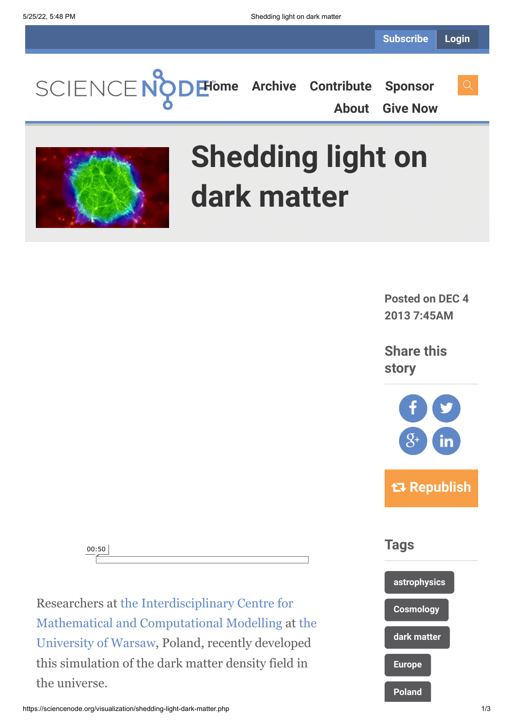**[Home](https://sciencenode.org/) [Archive](https://sciencenode.org/archive/index.php) [Contribute](https://sciencenode.org/contribute/index.php) [Sponsor](https://sciencenode.org/sponsor/index.php)**

**[About](https://sciencenode.org/about/index.php) [Give Now](https://sciencenode.org/donate/index.php)**



# **Shedding light on dark matter**

**Posted on DEC 4 2013 7:45AM**

**Share this story**

**[Europe](https://sciencenode.org/tag/?tag=Europe)**

**[Poland](https://sciencenode.org/tag/?tag=Poland)**



 **Republish**



this simulation of the dark matter density field in the universe.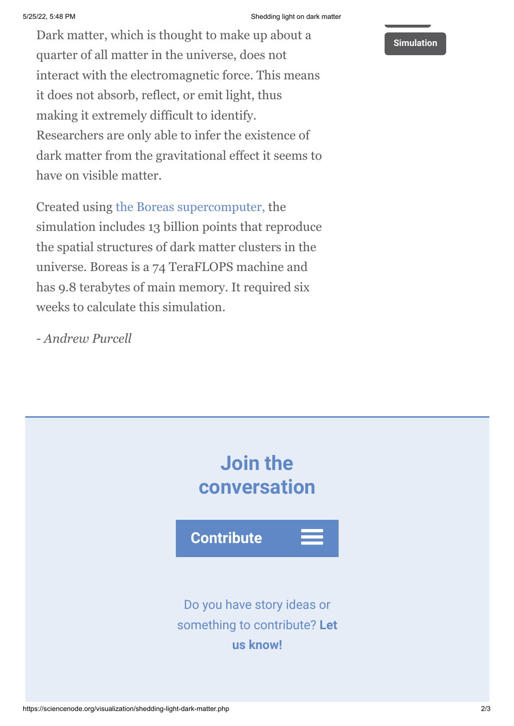Dark matter, which is thought to make up about a quarter of all matter in the universe, does not interact with the electromagnetic force. This means it does not absorb, reflect, or emit light, thus making it extremely difficult to identify. Researchers are only able to infer the existence of dark matter from the gravitational effect it seems to have on visible matter.

Created using [the Boreas supercomputer,](http://www.top500.org/system/177628) the simulation includes 13 billion points that reproduce the spatial structures of dark matter clusters in the universe. Boreas is a 74 TeraFLOPS machine and has 9.8 terabytes of main memory. It required six weeks to calculate this simulation.

*- Andrew Purcell*